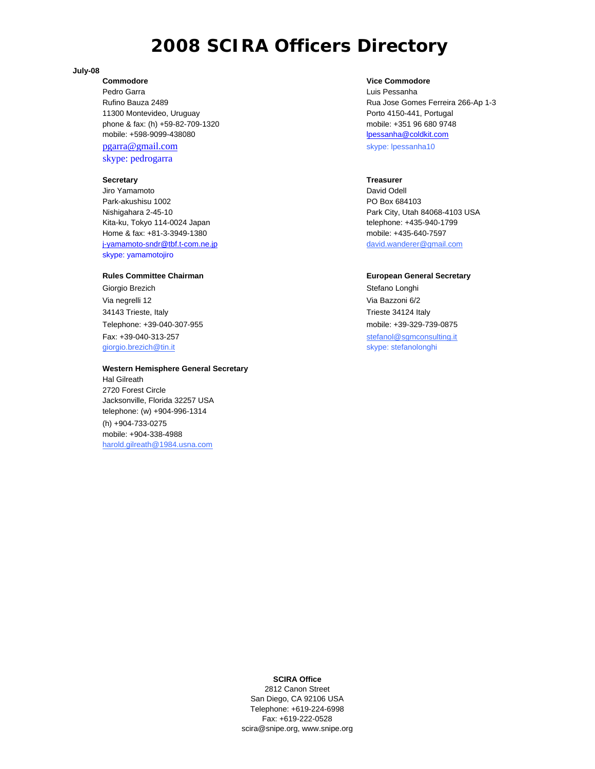# **2008 SCIRA Officers Directory**

#### **July-08**

Pedro Garra Luis Pessanha 11300 Montevideo, Uruguay Porto 4150-441, Portugal phone & fax: (h) +59-82-709-1320 mobile: +351 96 680 9748 mobile: +598-9099-438080 lpessanha@coldkit.com pgarra@gmail.com skype: lpessanha10 skype: pedrogarra

## **Secretary Treasurer**

Jiro Yamamoto David Odell November 2012 Park-akushisu 1002 PO Box 684103 Nishigahara 2-45-10 Park City, Utah 84068-4103 USA Kita-ku, Tokyo 114-0024 Japan telephone: +435-940-1799 Home & fax: +81-3-3949-1380 mobile: +435-640-7597 j-yamamoto-sndr@tbf.t-com.ne.jp david.wanderer@gmail.com skype: yamamotojiro

Giorgio Brezich **Stefano Longhi** Via negrelli 12 Via Bazzoni 6/2 34143 Trieste, Italy Trieste 34124 Italy Telephone: +39-040-307-955 mobile: +39-329-739-0875 Fax: +39-040-313-257 stefanol@sgmconsulting.it giorgio.brezich@tin.it skype: stefanolonghi

### **Western Hemisphere General Secretary**

Hal Gilreath 2720 Forest Circle Jacksonville, Florida 32257 USA telephone: (w) +904-996-1314 (h) +904-733-0275 mobile: +904-338-4988 harold.gilreath@1984.usna.com

### **Commodore Commodore Vice Commodore Vice Commodore**

Rufino Bauza 2489 Rua Jose Gomes Ferreira 266-Ap 1-3

#### **Rules Committee Chairman Committee Chairman Committee Chairman European General Secretary**

### **SCIRA Office**

2812 Canon Street San Diego, CA 92106 USA Telephone: +619-224-6998 Fax: +619-222-0528 scira@snipe.org, www.snipe.org